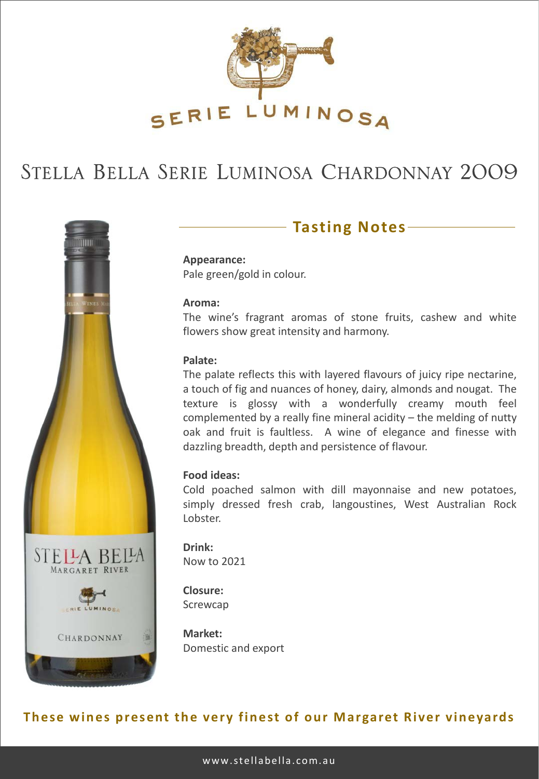

# STELLA BELLA SERIE LUMINOSA CHARDONNAY 2009



### **Tasting Notes**

**Appearance:** Pale green/gold in colour.

#### **Aroma:**

The wine's fragrant aromas of stone fruits, cashew and white flowers show great intensity and harmony.

#### **Palate:**

The palate reflects this with layered flavours of juicy ripe nectarine, a touch of fig and nuances of honey, dairy, almonds and nougat. The texture is glossy with a wonderfully creamy mouth feel complemented by a really fine mineral acidity – the melding of nutty oak and fruit is faultless. A wine of elegance and finesse with dazzling breadth, depth and persistence of flavour.

#### **Food ideas:**

Cold poached salmon with dill mayonnaise and new potatoes, simply dressed fresh crab, langoustines, West Australian Rock Lobster.

**Drink:** Now to 2021

**Closure:** Screwcap

**Market:** Domestic and export

### **These wines present the very finest of our Margaret River vineyards**